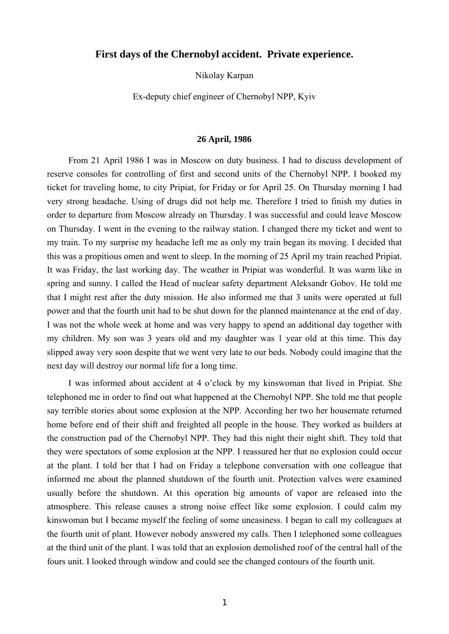# **First days of the Chernobyl accident. Private experience.**

Nikolay Karpan

Ex-deputy chief engineer of Chernobyl NPP, Kyiv

## **26 April, 1986**

From 21 April 1986 I was in Moscow on duty business. I had to discuss development of reserve consoles for controlling of first and second units of the Chernobyl NPP. I booked my ticket for traveling home, to city Pripiat, for Friday or for April 25. On Thursday morning I had very strong headache. Using of drugs did not help me. Therefore I tried to finish my duties in order to departure from Moscow already on Thursday. I was successful and could leave Moscow on Thursday. I went in the evening to the railway station. I changed there my ticket and went to my train. To my surprise my headache left me as only my train began its moving. I decided that this was a propitious omen and went to sleep. In the morning of 25 April my train reached Pripiat. It was Friday, the last working day. The weather in Pripiat was wonderful. It was warm like in spring and sunny. I called the Head of nuclear safety department Aleksandr Gobov. He told me that I might rest after the duty mission. He also informed me that 3 units were operated at full power and that the fourth unit had to be shut down for the planned maintenance at the end of day. I was not the whole week at home and was very happy to spend an additional day together with my children. My son was 3 years old and my daughter was 1 year old at this time. This day slipped away very soon despite that we went very late to our beds. Nobody could imagine that the next day will destroy our normal life for a long time.

I was informed about accident at 4 o'clock by my kinswoman that lived in Pripiat. She telephoned me in order to find out what happened at the Chernobyl NPP. She told me that people say terrible stories about some explosion at the NPP. According her two her housemate returned home before end of their shift and freighted all people in the house. They worked as builders at the construction pad of the Chernobyl NPP. They had this night their night shift. They told that they were spectators of some explosion at the NPP. I reassured her that no explosion could occur at the plant. I told her that I had on Friday a telephone conversation with one colleague that informed me about the planned shutdown of the fourth unit. Protection valves were examined usually before the shutdown. At this operation big amounts of vapor are released into the atmosphere. This release causes a strong noise effect like some explosion. I could calm my kinswoman but I became myself the feeling of some uneasiness. I began to call my colleagues at the fourth unit of plant. However nobody answered my calls. Then I telephoned some colleagues at the third unit of the plant. I was told that an explosion demolished roof of the central hall of the fours unit. I looked through window and could see the changed contours of the fourth unit.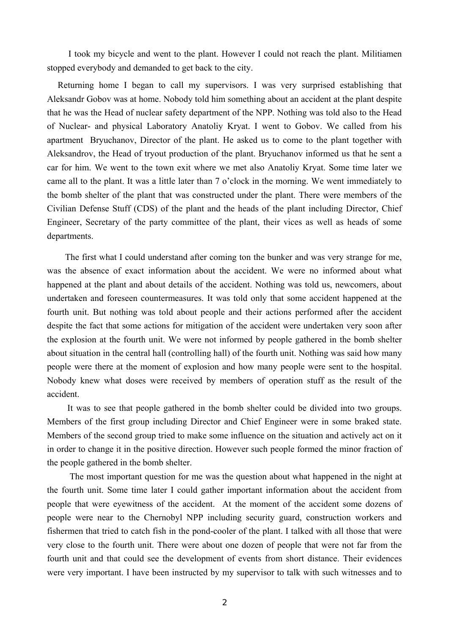I took my bicycle and went to the plant. However I could not reach the plant. Militiamen stopped everybody and demanded to get back to the city.

Returning home I began to call my supervisors. I was very surprised establishing that Aleksandr Gobov was at home. Nobody told him something about an accident at the plant despite that he was the Head of nuclear safety department of the NPP. Nothing was told also to the Head of Nuclear- and physical Laboratory Anatoliy Kryat. I went to Gobov. We called from his apartment Bryuchanov, Director of the plant. He asked us to come to the plant together with Aleksandrov, the Head of tryout production of the plant. Bryuchanov informed us that he sent a car for him. We went to the town exit where we met also Anatoliy Kryat. Some time later we came all to the plant. It was a little later than 7 o'clock in the morning. We went immediately to the bomb shelter of the plant that was constructed under the plant. There were members of the Civilian Defense Stuff (CDS) of the plant and the heads of the plant including Director, Chief Engineer, Secretary of the party committee of the plant, their vices as well as heads of some departments.

 The first what I could understand after coming ton the bunker and was very strange for me, was the absence of exact information about the accident. We were no informed about what happened at the plant and about details of the accident. Nothing was told us, newcomers, about undertaken and foreseen countermeasures. It was told only that some accident happened at the fourth unit. But nothing was told about people and their actions performed after the accident despite the fact that some actions for mitigation of the accident were undertaken very soon after the explosion at the fourth unit. We were not informed by people gathered in the bomb shelter about situation in the central hall (controlling hall) of the fourth unit. Nothing was said how many people were there at the moment of explosion and how many people were sent to the hospital. Nobody knew what doses were received by members of operation stuff as the result of the accident.

 It was to see that people gathered in the bomb shelter could be divided into two groups. Members of the first group including Director and Chief Engineer were in some braked state. Members of the second group tried to make some influence on the situation and actively act on it in order to change it in the positive direction. However such people formed the minor fraction of the people gathered in the bomb shelter.

 The most important question for me was the question about what happened in the night at the fourth unit. Some time later I could gather important information about the accident from people that were eyewitness of the accident. At the moment of the accident some dozens of people were near to the Chernobyl NPP including security guard, construction workers and fishermen that tried to catch fish in the pond-cooler of the plant. I talked with all those that were very close to the fourth unit. There were about one dozen of people that were not far from the fourth unit and that could see the development of events from short distance. Their evidences were very important. I have been instructed by my supervisor to talk with such witnesses and to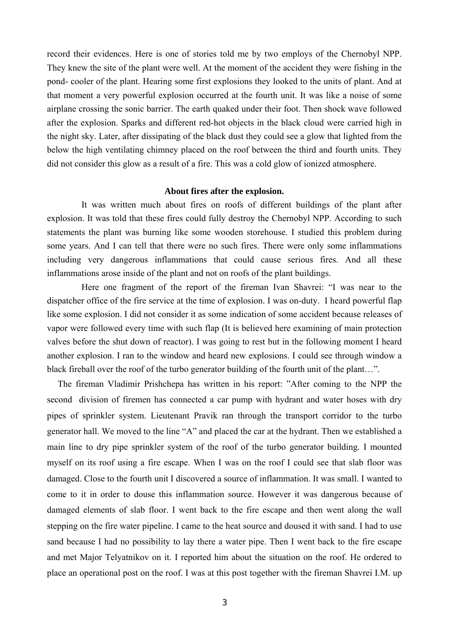record their evidences. Here is one of stories told me by two employs of the Chernobyl NPP. They knew the site of the plant were well. At the moment of the accident they were fishing in the pond- cooler of the plant. Hearing some first explosions they looked to the units of plant. And at that moment a very powerful explosion occurred at the fourth unit. It was like a noise of some airplane crossing the sonic barrier. The earth quaked under their foot. Then shock wave followed after the explosion. Sparks and different red-hot objects in the black cloud were carried high in the night sky. Later, after dissipating of the black dust they could see a glow that lighted from the below the high ventilating chimney placed on the roof between the third and fourth units. They did not consider this glow as a result of a fire. This was a cold glow of ionized atmosphere.

#### **About fires after the explosion.**

 It was written much about fires on roofs of different buildings of the plant after explosion. It was told that these fires could fully destroy the Chernobyl NPP. According to such statements the plant was burning like some wooden storehouse. I studied this problem during some years. And I can tell that there were no such fires. There were only some inflammations including very dangerous inflammations that could cause serious fires. And all these inflammations arose inside of the plant and not on roofs of the plant buildings.

 Here one fragment of the report of the fireman Ivan Shavrei: "I was near to the dispatcher office of the fire service at the time of explosion. I was on-duty. I heard powerful flap like some explosion. I did not consider it as some indication of some accident because releases of vapor were followed every time with such flap (It is believed here examining of main protection valves before the shut down of reactor). I was going to rest but in the following moment I heard another explosion. I ran to the window and heard new explosions. I could see through window a black fireball over the roof of the turbo generator building of the fourth unit of the plant…".

The fireman Vladimir Prishchepa has written in his report: "After coming to the NPP the second division of firemen has connected a car pump with hydrant and water hoses with dry pipes of sprinkler system. Lieutenant Pravik ran through the transport corridor to the turbo generator hall. We moved to the line "A" and placed the car at the hydrant. Then we established a main line to dry pipe sprinkler system of the roof of the turbo generator building. I mounted myself on its roof using a fire escape. When I was on the roof I could see that slab floor was damaged. Close to the fourth unit I discovered a source of inflammation. It was small. I wanted to come to it in order to douse this inflammation source. However it was dangerous because of damaged elements of slab floor. I went back to the fire escape and then went along the wall stepping on the fire water pipeline. I came to the heat source and doused it with sand. I had to use sand because I had no possibility to lay there a water pipe. Then I went back to the fire escape and met Major Telyatnikov on it. I reported him about the situation on the roof. He ordered to place an operational post on the roof. I was at this post together with the fireman Shavrei I.M. up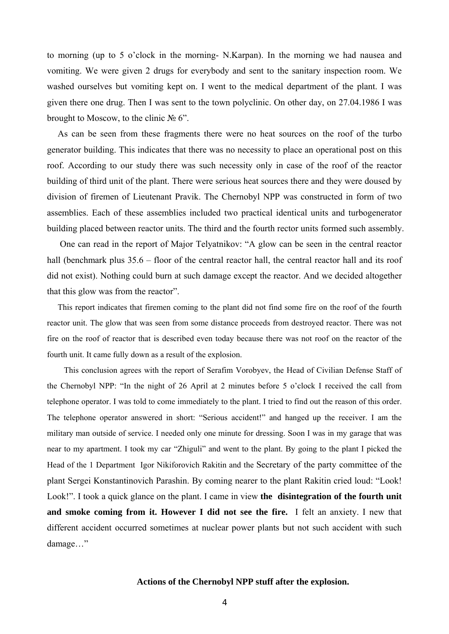to morning (up to 5 o'clock in the morning- N.Karpan). In the morning we had nausea and vomiting. We were given 2 drugs for everybody and sent to the sanitary inspection room. We washed ourselves but vomiting kept on. I went to the medical department of the plant. I was given there one drug. Then I was sent to the town polyclinic. On other day, on 27.04.1986 I was brought to Moscow, to the clinic  $\mathcal{N}_2$  6".

As can be seen from these fragments there were no heat sources on the roof of the turbo generator building. This indicates that there was no necessity to place an operational post on this roof. According to our study there was such necessity only in case of the roof of the reactor building of third unit of the plant. There were serious heat sources there and they were doused by division of firemen of Lieutenant Pravik. The Chernobyl NPP was constructed in form of two assemblies. Each of these assemblies included two practical identical units and turbogenerator building placed between reactor units. The third and the fourth rector units formed such assembly.

 One can read in the report of Major Telyatnikov: "A glow can be seen in the central reactor hall (benchmark plus 35.6 – floor of the central reactor hall, the central reactor hall and its roof did not exist). Nothing could burn at such damage except the reactor. And we decided altogether that this glow was from the reactor".

This report indicates that firemen coming to the plant did not find some fire on the roof of the fourth reactor unit. The glow that was seen from some distance proceeds from destroyed reactor. There was not fire on the roof of reactor that is described even today because there was not roof on the reactor of the fourth unit. It came fully down as a result of the explosion.

 This conclusion agrees with the report of Serafim Vorobyev, the Head of Civilian Defense Staff of the Chernobyl NPP: "In the night of 26 April at 2 minutes before 5 o'clock I received the call from telephone operator. I was told to come immediately to the plant. I tried to find out the reason of this order. The telephone operator answered in short: "Serious accident!" and hanged up the receiver. I am the military man outside of service. I needed only one minute for dressing. Soon I was in my garage that was near to my apartment. I took my car "Zhiguli" and went to the plant. By going to the plant I picked the Head of the 1 Department Igor Nikiforovich Rakitin and the Secretary of the party committee of the plant Sergei Konstantinovich Parashin. By coming nearer to the plant Rakitin cried loud: "Look! Look!". I took a quick glance on the plant. I came in view **the disintegration of the fourth unit and smoke coming from it. However I did not see the fire.** I felt an anxiety. I new that different accident occurred sometimes at nuclear power plants but not such accident with such damage…"

# **Actions of the Chernobyl NPP stuff after the explosion.**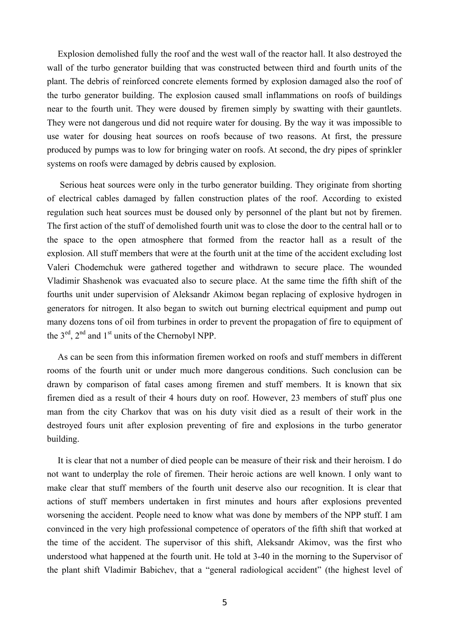Explosion demolished fully the roof and the west wall of the reactor hall. It also destroyed the wall of the turbo generator building that was constructed between third and fourth units of the plant. The debris of reinforced concrete elements formed by explosion damaged also the roof of the turbo generator building. The explosion caused small inflammations on roofs of buildings near to the fourth unit. They were doused by firemen simply by swatting with their gauntlets. They were not dangerous und did not require water for dousing. By the way it was impossible to use water for dousing heat sources on roofs because of two reasons. At first, the pressure produced by pumps was to low for bringing water on roofs. At second, the dry pipes of sprinkler systems on roofs were damaged by debris caused by explosion.

 Serious heat sources were only in the turbo generator building. They originate from shorting of electrical cables damaged by fallen construction plates of the roof. According to existed regulation such heat sources must be doused only by personnel of the plant but not by firemen. The first action of the stuff of demolished fourth unit was to close the door to the central hall or to the space to the open atmosphere that formed from the reactor hall as a result of the explosion. All stuff members that were at the fourth unit at the time of the accident excluding lost Valeri Chodemchuk were gathered together and withdrawn to secure place. The wounded Vladimir Shashenok was evacuated also to secure place. At the same time the fifth shift of the fourths unit under supervision of Aleksandr Akimoм began replacing of explosive hydrogen in generators for nitrogen. It also began to switch out burning electrical equipment and pump out many dozens tons of oil from turbines in order to prevent the propagation of fire to equipment of the  $3<sup>ed</sup>$ ,  $2<sup>nd</sup>$  and  $1<sup>st</sup>$  units of the Chernobyl NPP.

As can be seen from this information firemen worked on roofs and stuff members in different rooms of the fourth unit or under much more dangerous conditions. Such conclusion can be drawn by comparison of fatal cases among firemen and stuff members. It is known that six firemen died as a result of their 4 hours duty on roof. However, 23 members of stuff plus one man from the city Charkov that was on his duty visit died as a result of their work in the destroyed fours unit after explosion preventing of fire and explosions in the turbo generator building.

It is clear that not a number of died people can be measure of their risk and their heroism. I do not want to underplay the role of firemen. Their heroic actions are well known. I only want to make clear that stuff members of the fourth unit deserve also our recognition. It is clear that actions of stuff members undertaken in first minutes and hours after explosions prevented worsening the accident. People need to know what was done by members of the NPP stuff. I am convinced in the very high professional competence of operators of the fifth shift that worked at the time of the accident. The supervisor of this shift, Aleksandr Akimov, was the first who understood what happened at the fourth unit. He told at 3-40 in the morning to the Supervisor of the plant shift Vladimir Babichev, that a "general radiological accident" (the highest level of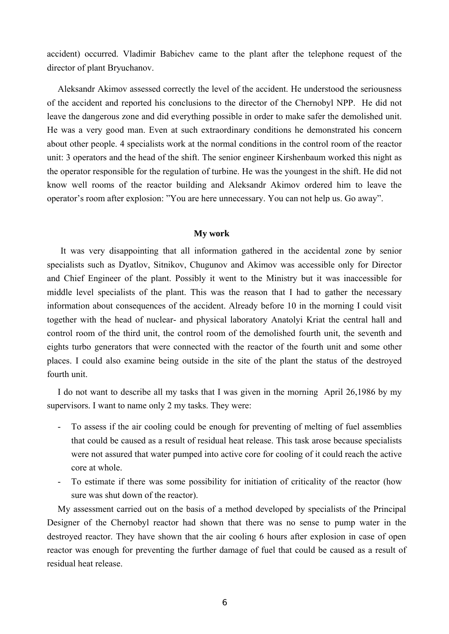accident) occurred. Vladimir Babichev came to the plant after the telephone request of the director of plant Bryuchanov.

Aleksandr Akimov assessed correctly the level of the accident. He understood the seriousness of the accident and reported his conclusions to the director of the Chernobyl NPP. He did not leave the dangerous zone and did everything possible in order to make safer the demolished unit. He was a very good man. Even at such extraordinary conditions he demonstrated his concern about other people. 4 specialists work at the normal conditions in the control room of the reactor unit: 3 operators and the head of the shift. The senior engineer Kirshenbaum worked this night as the operator responsible for the regulation of turbine. He was the youngest in the shift. He did not know well rooms of the reactor building and Aleksandr Akimov ordered him to leave the operator's room after explosion: "You are here unnecessary. You can not help us. Go away".

### **My work**

 It was very disappointing that all information gathered in the accidental zone by senior specialists such as Dyatlov, Sitnikov, Chugunov and Akimov was accessible only for Director and Chief Engineer of the plant. Possibly it went to the Ministry but it was inaccessible for middle level specialists of the plant. This was the reason that I had to gather the necessary information about consequences of the accident. Already before 10 in the morning I could visit together with the head of nuclear- and physical laboratory Anatolyi Kriat the central hall and control room of the third unit, the control room of the demolished fourth unit, the seventh and eights turbo generators that were connected with the reactor of the fourth unit and some other places. I could also examine being outside in the site of the plant the status of the destroyed fourth unit.

I do not want to describe all my tasks that I was given in the morning April 26,1986 by my supervisors. I want to name only 2 my tasks. They were:

- To assess if the air cooling could be enough for preventing of melting of fuel assemblies that could be caused as a result of residual heat release. This task arose because specialists were not assured that water pumped into active core for cooling of it could reach the active core at whole.
- To estimate if there was some possibility for initiation of criticality of the reactor (how sure was shut down of the reactor).

My assessment carried out on the basis of a method developed by specialists of the Principal Designer of the Chernobyl reactor had shown that there was no sense to pump water in the destroyed reactor. They have shown that the air cooling 6 hours after explosion in case of open reactor was enough for preventing the further damage of fuel that could be caused as a result of residual heat release.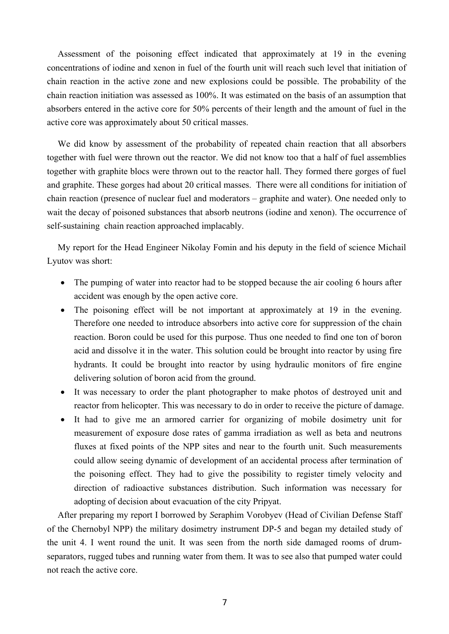Assessment of the poisoning effect indicated that approximately at 19 in the evening concentrations of iodine and xenon in fuel of the fourth unit will reach such level that initiation of chain reaction in the active zone and new explosions could be possible. The probability of the chain reaction initiation was assessed as 100%. It was estimated on the basis of an assumption that absorbers entered in the active core for 50% percents of their length and the amount of fuel in the active core was approximately about 50 critical masses.

We did know by assessment of the probability of repeated chain reaction that all absorbers together with fuel were thrown out the reactor. We did not know too that a half of fuel assemblies together with graphite blocs were thrown out to the reactor hall. They formed there gorges of fuel and graphite. These gorges had about 20 critical masses. There were all conditions for initiation of chain reaction (presence of nuclear fuel and moderators – graphite and water). One needed only to wait the decay of poisoned substances that absorb neutrons (iodine and xenon). The occurrence of self-sustaining chain reaction approached implacably.

My report for the Head Engineer Nikolay Fomin and his deputy in the field of science Michail Lyutov was short:

- The pumping of water into reactor had to be stopped because the air cooling 6 hours after accident was enough by the open active core.
- The poisoning effect will be not important at approximately at 19 in the evening. Therefore one needed to introduce absorbers into active core for suppression of the chain reaction. Boron could be used for this purpose. Thus one needed to find one ton of boron acid and dissolve it in the water. This solution could be brought into reactor by using fire hydrants. It could be brought into reactor by using hydraulic monitors of fire engine delivering solution of boron acid from the ground.
- It was necessary to order the plant photographer to make photos of destroyed unit and reactor from helicopter. This was necessary to do in order to receive the picture of damage.
- It had to give me an armored carrier for organizing of mobile dosimetry unit for measurement of exposure dose rates of gamma irradiation as well as beta and neutrons fluxes at fixed points of the NPP sites and near to the fourth unit. Such measurements could allow seeing dynamic of development of an accidental process after termination of the poisoning effect. They had to give the possibility to register timely velocity and direction of radioactive substances distribution. Such information was necessary for adopting of decision about evacuation of the city Pripyat.

After preparing my report I borrowed by *S*eraphim Vorobyev (Head of Civilian Defense Staff of the Chernobyl NPP) the military dosimetry instrument DP-5 and began my detailed study of the unit 4. I went round the unit. It was seen from the north side damaged rooms of drumseparators, rugged tubes and running water from them. It was to see also that pumped water could not reach the active core.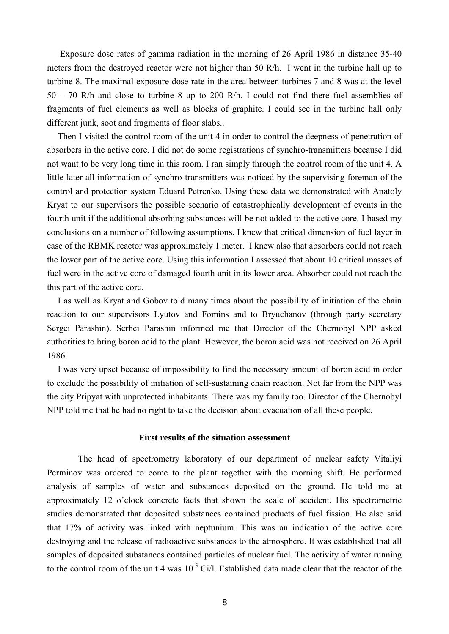Exposure dose rates of gamma radiation in the morning of 26 April 1986 in distance 35-40 meters from the destroyed reactor were not higher than 50 R/h. I went in the turbine hall up to turbine 8. The maximal exposure dose rate in the area between turbines 7 and 8 was at the level 50 – 70 R/h and close to turbine 8 up to 200 R/h. I could not find there fuel assemblies of fragments of fuel elements as well as blocks of graphite. I could see in the turbine hall only different junk, soot and fragments of floor slabs..

Then I visited the control room of the unit 4 in order to control the deepness of penetration of absorbers in the active core. I did not do some registrations of synchro-transmitters because I did not want to be very long time in this room. I ran simply through the control room of the unit 4. A little later all information of synchro-transmitters was noticed by the supervising foreman of the control and protection system Eduard Petrenko. Using these data we demonstrated with Anatoly Kryat to our supervisors the possible scenario of catastrophically development of events in the fourth unit if the additional absorbing substances will be not added to the active core. I based my conclusions on a number of following assumptions. I knew that critical dimension of fuel layer in case of the RBMK reactor was approximately 1 meter. I knew also that absorbers could not reach the lower part of the active core. Using this information I assessed that about 10 critical masses of fuel were in the active core of damaged fourth unit in its lower area. Absorber could not reach the this part of the active core.

I as well as Kryat and Gobov told many times about the possibility of initiation of the chain reaction to our supervisors Lyutov and Fomins and to Bryuchanov (through party secretary Sergei Parashin). Serhei Parashin informed me that Director of the Chernobyl NPP asked authorities to bring boron acid to the plant. However, the boron acid was not received on 26 April 1986.

I was very upset because of impossibility to find the necessary amount of boron acid in order to exclude the possibility of initiation of self-sustaining chain reaction. Not far from the NPP was the city Pripyat with unprotected inhabitants. There was my family too. Director of the Chernobyl NPP told me that he had no right to take the decision about evacuation of all these people.

## **First results of the situation assessment**

 The head of spectrometry laboratory of our department of nuclear safety Vitaliyi Perminov was ordered to come to the plant together with the morning shift. He performed analysis of samples of water and substances deposited on the ground. He told me at approximately 12 o'clock concrete facts that shown the scale of accident. His spectrometric studies demonstrated that deposited substances contained products of fuel fission. He also said that 17% of activity was linked with neptunium. This was an indication of the active core destroying and the release of radioactive substances to the atmosphere. It was established that all samples of deposited substances contained particles of nuclear fuel. The activity of water running to the control room of the unit 4 was  $10^{-3}$  Ci/l. Established data made clear that the reactor of the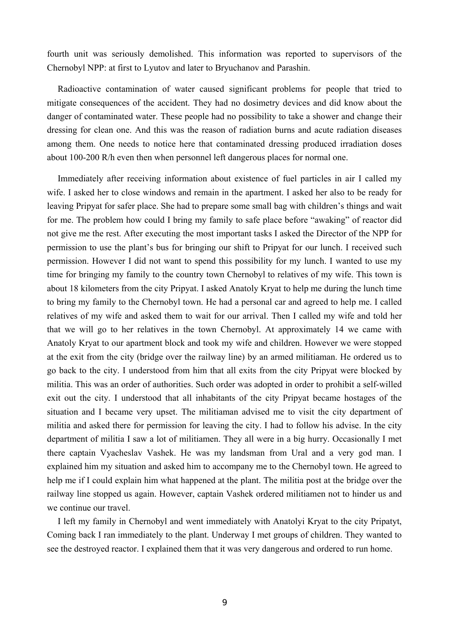fourth unit was seriously demolished. This information was reported to supervisors of the Chernobyl NPP: at first to Lyutov and later to Bryuchanov and Parashin.

Radioactive contamination of water caused significant problems for people that tried to mitigate consequences of the accident. They had no dosimetry devices and did know about the danger of contaminated water. These people had no possibility to take a shower and change their dressing for clean one. And this was the reason of radiation burns and acute radiation diseases among them. One needs to notice here that contaminated dressing produced irradiation doses about 100-200 R/h even then when personnel left dangerous places for normal one.

Immediately after receiving information about existence of fuel particles in air I called my wife. I asked her to close windows and remain in the apartment. I asked her also to be ready for leaving Pripyat for safer place. She had to prepare some small bag with children's things and wait for me. The problem how could I bring my family to safe place before "awaking" of reactor did not give me the rest. After executing the most important tasks I asked the Director of the NPP for permission to use the plant's bus for bringing our shift to Pripyat for our lunch. I received such permission. However I did not want to spend this possibility for my lunch. I wanted to use my time for bringing my family to the country town Chernobyl to relatives of my wife. This town is about 18 kilometers from the city Pripyat. I asked Anatoly Kryat to help me during the lunch time to bring my family to the Chernobyl town. He had a personal car and agreed to help me. I called relatives of my wife and asked them to wait for our arrival. Then I called my wife and told her that we will go to her relatives in the town Chernobyl. At approximately 14 we came with Anatoly Kryat to our apartment block and took my wife and children. However we were stopped at the exit from the city (bridge over the railway line) by an armed militiaman. He ordered us to go back to the city. I understood from him that all exits from the city Pripyat were blocked by militia. This was an order of authorities. Such order was adopted in order to prohibit a self-willed exit out the city. I understood that all inhabitants of the city Pripyat became hostages of the situation and I became very upset. The militiaman advised me to visit the city department of militia and asked there for permission for leaving the city. I had to follow his advise. In the city department of militia I saw a lot of militiamen. They all were in a big hurry. Occasionally I met there captain Vyacheslav Vashek. He was my landsman from Ural and a very god man. I explained him my situation and asked him to accompany me to the Chernobyl town. He agreed to help me if I could explain him what happened at the plant. The militia post at the bridge over the railway line stopped us again. However, captain Vashek ordered militiamen not to hinder us and we continue our travel.

I left my family in Chernobyl and went immediately with Anatolyi Kryat to the city Pripatyt, Coming back I ran immediately to the plant. Underway I met groups of children. They wanted to see the destroyed reactor. I explained them that it was very dangerous and ordered to run home.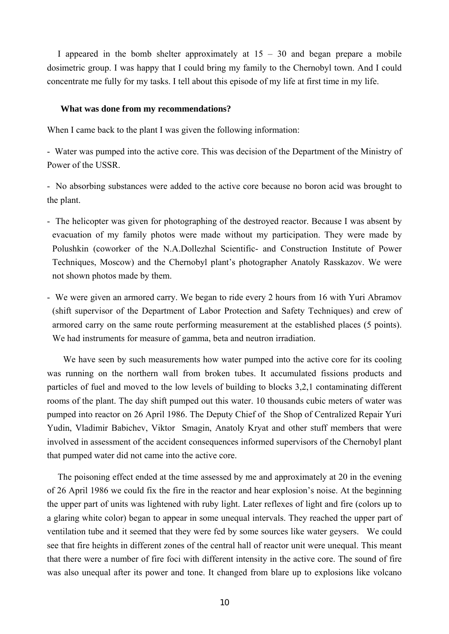I appeared in the bomb shelter approximately at  $15 - 30$  and began prepare a mobile dosimetric group. I was happy that I could bring my family to the Chernobyl town. And I could concentrate me fully for my tasks. I tell about this episode of my life at first time in my life.

## **What was done from my recommendations?**

When I came back to the plant I was given the following information:

- Water was pumped into the active core. This was decision of the Department of the Ministry of Power of the USSR.

- No absorbing substances were added to the active core because no boron acid was brought to the plant.

- The helicopter was given for photographing of the destroyed reactor. Because I was absent by evacuation of my family photos were made without my participation. They were made by Polushkin (coworker of the N.A.Dollezhal Scientific- and Construction Institute of Power Techniques, Moscow) and the Chernobyl plant's photographer Anatoly Rasskazov. We were not shown photos made by them.
- We were given an armored carry. We began to ride every 2 hours from 16 with Yuri Abramov (shift supervisor of the Department of Labor Protection and Safety Techniques) and crew of armored carry on the same route performing measurement at the established places (5 points). We had instruments for measure of gamma, beta and neutron irradiation.

We have seen by such measurements how water pumped into the active core for its cooling was running on the northern wall from broken tubes. It accumulated fissions products and particles of fuel and moved to the low levels of building to blocks 3,2,1 contaminating different rooms of the plant. The day shift pumped out this water. 10 thousands cubic meters of water was pumped into reactor on 26 April 1986. The Deputy Chief of the Shop of Centralized Repair Yuri Yudin, Vladimir Babichev, Viktor Smagin, Anatoly Kryat and other stuff members that were involved in assessment of the accident consequences informed supervisors of the Chernobyl plant that pumped water did not came into the active core.

The poisoning effect ended at the time assessed by me and approximately at 20 in the evening of 26 April 1986 we could fix the fire in the reactor and hear explosion's noise. At the beginning the upper part of units was lightened with ruby light. Later reflexes of light and fire (colors up to a glaring white color) began to appear in some unequal intervals. They reached the upper part of ventilation tube and it seemed that they were fed by some sources like water geysers. We could see that fire heights in different zones of the central hall of reactor unit were unequal. This meant that there were a number of fire foci with different intensity in the active core. The sound of fire was also unequal after its power and tone. It changed from blare up to explosions like volcano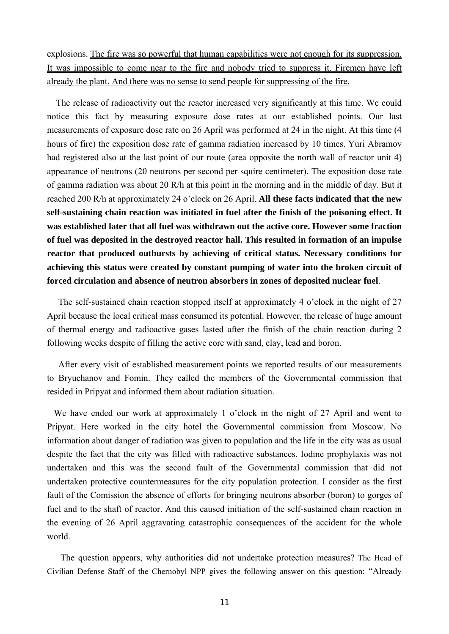explosions. The fire was so powerful that human capabilities were not enough for its suppression. It was impossible to come near to the fire and nobody tried to suppress it. Firemen have left already the plant. And there was no sense to send people for suppressing of the fire.

 The release of radioactivity out the reactor increased very significantly at this time. We could notice this fact by measuring exposure dose rates at our established points. Our last measurements of exposure dose rate on 26 April was performed at 24 in the night. At this time (4 hours of fire) the exposition dose rate of gamma radiation increased by 10 times. Yuri Abramov had registered also at the last point of our route (area opposite the north wall of reactor unit 4) appearance of neutrons (20 neutrons per second per squire centimeter). The exposition dose rate of gamma radiation was about 20 R/h at this point in the morning and in the middle of day. But it reached 200 R/h at approximately 24 o'clock on 26 April. **All these facts indicated that the new self-sustaining chain reaction was initiated in fuel after the finish of the poisoning effect. It was established later that all fuel was withdrawn out the active core. However some fraction of fuel was deposited in the destroyed reactor hall. This resulted in formation of an impulse reactor that produced outbursts by achieving of critical status. Necessary conditions for achieving this status were created by constant pumping of water into the broken circuit of forced circulation and absence of neutron absorbers in zones of deposited nuclear fuel**.

 The self-sustained chain reaction stopped itself at approximately 4 o'clock in the night of 27 April because the local critical mass consumed its potential. However, the release of huge amount of thermal energy and radioactive gases lasted after the finish of the chain reaction during 2 following weeks despite of filling the active core with sand, clay, lead and boron.

 After every visit of established measurement points we reported results of our measurements to Bryuchanov and Fomin. They called the members of the Governmental commission that resided in Pripyat and informed them about radiation situation.

We have ended our work at approximately 1 o'clock in the night of 27 April and went to Pripyat. Here worked in the city hotel the Governmental commission from Moscow. No information about danger of radiation was given to population and the life in the city was as usual despite the fact that the city was filled with radioactive substances. Iodine prophylaxis was not undertaken and this was the second fault of the Governmental commission that did not undertaken protective countermeasures for the city population protection. I consider as the first fault of the Comission the absence of efforts for bringing neutrons absorber (boron) to gorges of fuel and to the shaft of reactor. And this caused initiation of the self-sustained chain reaction in the evening of 26 April aggravating catastrophic consequences of the accident for the whole world.

 The question appears, why authorities did not undertake protection measures? The Head of Civilian Defense Staff of the Chernobyl NPP gives the following answer on this question: "Already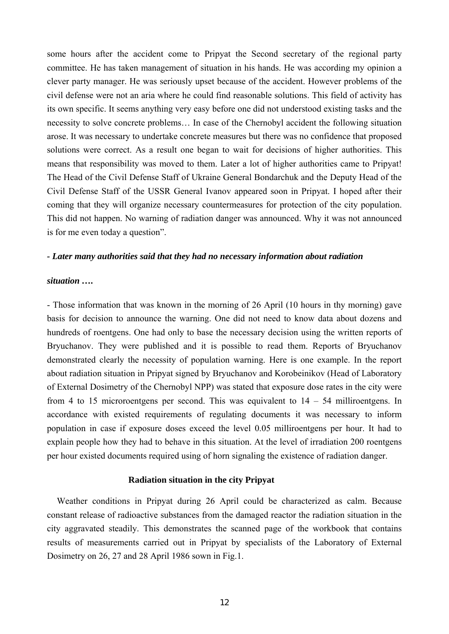some hours after the accident come to Pripyat the Second secretary of the regional party committee. He has taken management of situation in his hands. He was according my opinion a clever party manager. He was seriously upset because of the accident. However problems of the civil defense were not an aria where he could find reasonable solutions. This field of activity has its own specific. It seems anything very easy before one did not understood existing tasks and the necessity to solve concrete problems… In case of the Chernobyl accident the following situation arose. It was necessary to undertake concrete measures but there was no confidence that proposed solutions were correct. As a result one began to wait for decisions of higher authorities. This means that responsibility was moved to them. Later a lot of higher authorities came to Pripyat! The Head of the Civil Defense Staff of Ukraine General Bondarchuk and the Deputy Head of the Civil Defense Staff of the USSR General Ivanov appeared soon in Pripyat. I hoped after their coming that they will organize necessary countermeasures for protection of the city population. This did not happen. No warning of radiation danger was announced. Why it was not announced is for me even today a question".

## *- Later many authorities said that they had no necessary information about radiation*

# *situation ….*

- Those information that was known in the morning of 26 April (10 hours in thу morning) gave basis for decision to announce the warning. One did not need to know data about dozens and hundreds of roentgens. One had only to base the necessary decision using the written reports of Bryuchanov. They were published and it is possible to read them. Reports of Bryuchanov demonstrated clearly the necessity of population warning. Here is one example. In the report about radiation situation in Pripyat signed by Bryuchanov and Korobeinikov (Head of Laboratory of External Dosimetry of the Chernobyl NPP) was stated that exposure dose rates in the city were from 4 to 15 microroentgens per second. This was equivalent to  $14 - 54$  milliroentgens. In accordance with existed requirements of regulating documents it was necessary to inform population in case if exposure doses exceed the level 0.05 milliroentgens per hour. It had to explain people how they had to behave in this situation. At the level of irradiation 200 roentgens per hour existed documents required using of horn signaling the existence of radiation danger.

# **Radiation situation in the city Pripyat**

Weather conditions in Pripyat during 26 April could be characterized as calm. Because constant release of radioactive substances from the damaged reactor the radiation situation in the city aggravated steadily. This demonstrates the scanned page of the workbook that contains results of measurements carried out in Pripyat by specialists of the Laboratory of External Dosimetry on 26, 27 and 28 April 1986 sown in Fig.1.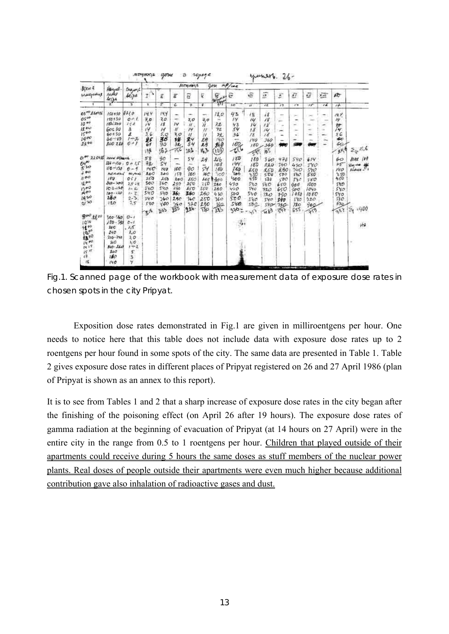| мочность<br>0,0.94<br>Э<br>ronage                                                                                                                                        |                                                                                                                                    |                                                                                                 |                                                                               |                                                                                      |                                                                             |                                                                                                   |                                                                 |                                                                                                | yunerb. 26-                                                                         |                                                                                       |                                                                                         |                                                                             |                                                                            |                                                                              |                |                                                                                          |                                                |
|--------------------------------------------------------------------------------------------------------------------------------------------------------------------------|------------------------------------------------------------------------------------------------------------------------------------|-------------------------------------------------------------------------------------------------|-------------------------------------------------------------------------------|--------------------------------------------------------------------------------------|-----------------------------------------------------------------------------|---------------------------------------------------------------------------------------------------|-----------------------------------------------------------------|------------------------------------------------------------------------------------------------|-------------------------------------------------------------------------------------|---------------------------------------------------------------------------------------|-----------------------------------------------------------------------------------------|-----------------------------------------------------------------------------|----------------------------------------------------------------------------|------------------------------------------------------------------------------|----------------|------------------------------------------------------------------------------------------|------------------------------------------------|
| $B_1$ en 4                                                                                                                                                               | Hauses.<br>redel<br>$\frac{4\pi\Omega_A}{2}$                                                                                       | 0.60006<br>41.70                                                                                | $\frac{\mu}{\sigma}$ /100<br>Alcondezio<br>gem                                |                                                                                      |                                                                             |                                                                                                   |                                                                 |                                                                                                |                                                                                     |                                                                                       |                                                                                         |                                                                             |                                                                            |                                                                              |                |                                                                                          |                                                |
| Willperful                                                                                                                                                               |                                                                                                                                    |                                                                                                 | 1,                                                                            | £                                                                                    | $\overline{a}$                                                              | 歴                                                                                                 | E                                                               | $\frac{9}{37}$                                                                                 | ÿř                                                                                  | Ġ                                                                                     | <b>Little</b><br>쓰                                                                      | X,                                                                          | Ū                                                                          | ū                                                                            | 殛              | $E_{\rm C}$                                                                              |                                                |
|                                                                                                                                                                          |                                                                                                                                    | $\mathbf{3}$                                                                                    | v                                                                             | τ                                                                                    | с                                                                           | 净                                                                                                 | R                                                               |                                                                                                | w                                                                                   | $\boldsymbol{H}$                                                                      | vz.                                                                                     | 13                                                                          | 小学                                                                         | $15^{\circ}$                                                                 | $\overline{1}$ | 泽                                                                                        |                                                |
| 0500 260486<br>0500<br>$10^{40}$<br>1200<br>1500<br>$19^{60}$<br>2200                                                                                                    | 150.30<br>150230<br>184.240<br>GOL 30<br>60E30<br>$60 - 80$<br>210 210                                                             | 87/0<br>$0 - 1$<br>$1 - 4$<br>â<br>$1 - 2$<br>o<br>÷                                            | 14.4<br>7,0<br>14<br>14<br>3,6<br>25<br>61<br>榫                               | 14.4<br>70<br>18<br>Ħ<br>5,0<br>36<br>90<br>:62                                      | ۰.<br>÷<br>$\overline{14}$<br>$\eta$<br>7,0<br>84<br>32<br>戒                | $\overline{\phantom{a}}$<br>7,0<br>n<br>$\mu$<br>$^{\prime\prime}$<br>24<br>54<br>101             | ÷<br>4,0<br>n<br>$\prime$<br>n<br>29<br>29<br>163               | 18,0<br>72.<br>72<br>玟<br>140<br>140<br>109                                                    | 43<br>14<br>43<br>54<br>36<br>$\frac{1}{2}$<br>180<br>$\mathbb{C}^{6}$              | 18<br>14<br>$14^{1}$<br>18<br>18<br>140<br>180<br>鄾                                   | $i\bar{s}$<br>18<br>18<br>141<br>18<br>360<br>360<br>0 <sup>5</sup>                     | <b>COLOR</b><br>$\overline{\phantom{a}}$<br>$\sim$<br><b>SOLUTION</b><br>-  | m<br>$\overline{\phantom{a}}$<br>-<br>۰                                    | m                                                                            | -              | 19.9<br>19<br>势<br>36<br>$\bullet$<br>60<br>$\mathfrak{g} \mathcal{H}^{\mathbf{b}}$      | $\mathcal{Z}_{Q}$ , $\mathcal{S}, \mathcal{C}$ |
| CV PP<br>23.0410<br>$64^{\infty}$<br>$5^{10}$<br>$\downarrow$ 00<br>1100<br>200<br>1500<br>100<br>1930<br>21,30                                                          | HOLD UCLAR<br>$126 + 150 = 0$<br>$10 - 150$<br>REAMING<br>180<br><b>Bin-300</b><br>$100 - 180$<br>$180 - 120$<br>$28\sigma$<br>120 | $-15$<br>$0 - 1$<br>the finals<br>0:1<br>$2.5 - 22$<br>$1 - 2$<br>$1 - 7$<br>$2 - 5$<br>2,5     | 5.8<br>72<br>140<br>300<br>250<br>300<br>340<br>540<br>540<br>540<br>$3^{16}$ | 90<br>54<br>iuu<br>2.40<br>253<br>36 <sub>C</sub><br>540<br>540<br>360<br>400<br>293 | <b>Inc.</b><br>ico<br>150<br>200<br>290<br>290<br>360<br>2.5c<br>260<br>355 | 54<br>$\frac{1}{2}$<br>9 <sup>o</sup><br>100<br>850<br>250<br>250<br>360<br>36C<br>32c<br>$93k -$ | 29<br>54<br>юc<br>165<br>250<br>250<br>260<br>250<br>250<br>TAP | $\mathcal{U}b$<br>108<br>189<br>500<br>300<br>280<br>280<br>430.<br>360<br>362<br>$\mathbf{M}$ | 180<br>144<br>180<br><b>Yeo</b><br>400<br>430<br>wo<br>500<br>500<br>540<br>$310 -$ | 180<br>180<br>250<br>450<br>450<br>540<br>540<br>540<br>540<br>100<br>$\mathcal{A}_L$ | 360<br>220<br>250<br>500<br>530<br>540<br>720<br>n<br>540<br>$540 -$<br>úδ <sup>3</sup> | 470<br>360<br>290<br>500<br>100<br>650<br>650<br>790<br>340<br>720<br>ব্ৰুন | 540<br>450<br>うしつ<br>540<br>540<br>900<br>900<br>1080<br>540<br>720<br>655 | 614<br>540<br>540<br>550<br>580<br>1000<br>1040<br>1080<br>220<br>900<br>359 |                | 60<br>75<br>r <sub>co</sub><br>150<br>450<br>520<br>540<br>540<br>520<br>$510 -$<br>287. | mat 119<br>Starte #<br>$-400$<br>$z_1$         |
| $\mathfrak{g}$ o $\mathcal{O}$<br>100<br>$10^{90}$<br>$11^{40}$<br>$\mathfrak{t}^{\mathfrak{g},\mathfrak{g},\mathfrak{g}}$<br>1800<br>IN IT<br>15.15<br>$\sqrt{4}$<br>15 | $300 - 560$<br>$120 - 345$<br>$_{kc}$<br>240<br>$210 - 240$<br>240<br>$210 - 240$<br>200<br>180<br>140                             | $0 - 1$<br>$C - I$<br>2.5.<br>1,0<br>3,0<br>1,0<br>$1 - 2$<br>5<br>$\overline{\mathbf{3}}$<br>٧ |                                                                               |                                                                                      |                                                                             |                                                                                                   |                                                                 |                                                                                                |                                                                                     |                                                                                       |                                                                                         |                                                                             |                                                                            |                                                                              |                |                                                                                          | HA                                             |

Fig.1. Scanned page of the workbook with measurement data of exposure dose rates in chosen spots in the city Pripyat.

Exposition dose rates demonstrated in Fig.1 are given in milliroentgens per hour. One needs to notice here that this table does not include data with exposure dose rates up to 2 roentgens per hour found in some spots of the city. The same data are presented in Table 1. Table 2 gives exposure dose rates in different places of Pripyat registered on 26 and 27 April 1986 (plan of Pripyat is shown as an annex to this report).

It is to see from Tables 1 and 2 that a sharp increase of exposure dose rates in the city began after the finishing of the poisoning effect (on April 26 after 19 hours). The exposure dose rates of gamma radiation at the beginning of evacuation of Pripyat (at 14 hours on 27 April) were in the entire city in the range from 0.5 to 1 roentgens per hour. Children that played outside of their apartments could receive during 5 hours the same doses as stuff members of the nuclear power plants. Real doses of people outside their apartments were even much higher because additional contribution gave also inhalation of radioactive gases and dust.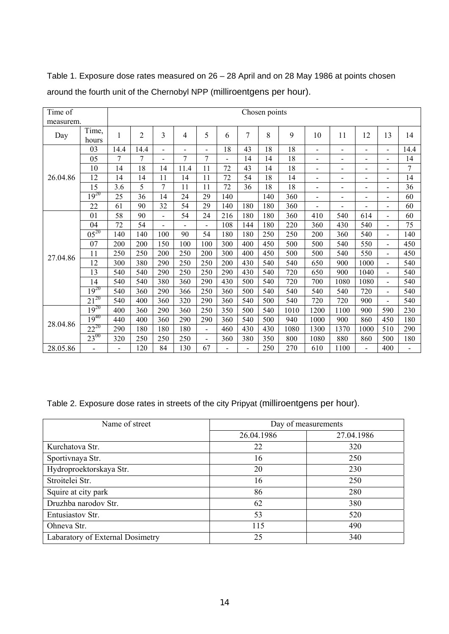| Time of   |                | Chosen points |                |                          |                          |                          |                |        |     |      |                              |                              |                          |                          |      |
|-----------|----------------|---------------|----------------|--------------------------|--------------------------|--------------------------|----------------|--------|-----|------|------------------------------|------------------------------|--------------------------|--------------------------|------|
| measurem. |                |               |                |                          |                          |                          |                |        |     |      |                              |                              |                          |                          |      |
| Day       | Time,<br>hours | 1             | $\overline{2}$ | 3                        | 4                        | 5                        | 6              | $\tau$ | 8   | 9    | 10                           | 11                           | 12                       | 13                       | 14   |
| 26.04.86  | 03             | 14.4          | 14.4           | $\overline{\phantom{0}}$ | $\overline{\phantom{a}}$ | $\overline{\phantom{a}}$ | 18             | 43     | 18  | 18   | $\overline{\phantom{0}}$     | $\overline{\phantom{0}}$     | $\overline{\phantom{0}}$ | $\overline{\phantom{a}}$ | 14.4 |
|           | 05             | 7             | 7              | $\overline{\phantom{0}}$ | 7                        | 7                        | $\overline{a}$ | 14     | 14  | 18   | $\overline{\phantom{0}}$     | ÷                            | $\overline{a}$           | $\blacksquare$           | 14   |
|           | 10             | 14            | 18             | 14                       | 11.4                     | 11                       | 72             | 43     | 14  | 18   | $\qquad \qquad \blacksquare$ | $\qquad \qquad \blacksquare$ | -                        | -                        | 7    |
|           | 12             | 14            | 14             | 11                       | 14                       | 11                       | 72             | 54     | 18  | 14   | ÷                            |                              | $\overline{\phantom{a}}$ |                          | 14   |
|           | 15             | 3.6           | 5              | 7                        | 11                       | 11                       | 72             | 36     | 18  | 18   | $\qquad \qquad \blacksquare$ | -                            | -                        | $\overline{\phantom{a}}$ | 36   |
|           | $19^{20}$      | 25            | 36             | 14                       | 24                       | 29                       | 140            |        | 140 | 360  | $\overline{\phantom{0}}$     | $\overline{a}$               | $\blacksquare$           | $\blacksquare$           | 60   |
|           | 22             | 61            | 90             | 32                       | 54                       | 29                       | 140            | 180    | 180 | 360  | $\overline{\phantom{0}}$     | -                            | -                        | $\overline{\phantom{a}}$ | 60   |
| 27.04.86  | 01             | 58            | 90             | $\overline{\phantom{0}}$ | 54                       | 24                       | 216            | 180    | 180 | 360  | 410                          | 540                          | 614                      | $\frac{1}{2}$            | 60   |
|           | 04             | 72            | 54             | $\overline{\phantom{0}}$ | $\overline{\phantom{a}}$ | $\blacksquare$           | 108            | 144    | 180 | 220  | 360                          | 430                          | 540                      | $\overline{\phantom{a}}$ | 75   |
|           | $05^{20}$      | 140           | 140            | 100                      | 90                       | 54                       | 180            | 180    | 250 | 250  | 200                          | 360                          | 540                      | $\overline{\phantom{a}}$ | 140  |
|           | 07             | 200           | 200            | 150                      | 100                      | 100                      | 300            | 400    | 450 | 500  | 500                          | 540                          | 550                      |                          | 450  |
|           | 11             | 250           | 250            | 200                      | 250                      | 200                      | 300            | 400    | 450 | 500  | 500                          | 540                          | 550                      | $\overline{\phantom{a}}$ | 450  |
|           | 12             | 300           | 380            | 290                      | 250                      | 250                      | 200            | 430    | 540 | 540  | 650                          | 900                          | 1000                     | $\overline{\phantom{a}}$ | 540  |
|           | 13             | 540           | 540            | 290                      | 250                      | 250                      | 290            | 430    | 540 | 720  | 650                          | 900                          | 1040                     | $\overline{a}$           | 540  |
|           | 14             | 540           | 540            | 380                      | 360                      | 290                      | 430            | 500    | 540 | 720  | 700                          | 1080                         | 1080                     | $\overline{\phantom{a}}$ | 540  |
|           | $19^{20}$      | 540           | 360            | 290                      | 366                      | 250                      | 360            | 500    | 540 | 540  | 540                          | 540                          | 720                      | $\blacksquare$           | 540  |
|           | $21^{20}$      | 540           | 400            | 360                      | 320                      | 290                      | 360            | 540    | 500 | 540  | 720                          | 720                          | 900                      |                          | 540  |
| 28.04.86  | $19^{20}$      | 400           | 360            | 290                      | 360                      | 250                      | 350            | 500    | 540 | 1010 | 1200                         | 1100                         | 900                      | 590                      | 230  |
|           | $19^{40}$      | 440           | 400            | 360                      | 290                      | 290                      | 360            | 540    | 500 | 940  | 1000                         | 900                          | 860                      | 450                      | 180  |
|           | $22^{20}$      | 290           | 180            | 180                      | 180                      | $\blacksquare$           | 460            | 430    | 430 | 1080 | 1300                         | 1370                         | 1000                     | 510                      | 290  |
|           | $23^{00}$      | 320           | 250            | 250                      | 250                      | $\blacksquare$           | 360            | 380    | 350 | 800  | 1080                         | 880                          | 860                      | 500                      | 180  |
| 28.05.86  |                |               | 120            | 84                       | 130                      | 67                       |                |        | 250 | 270  | 610                          | 1100                         |                          | 400                      |      |

Table 1. Exposure dose rates measured on 26 – 28 April and on 28 May 1986 at points chosen around the fourth unit of the Chernobyl NPP (milliroentgens per hour).

# Table 2. Exposure dose rates in streets of the city Pripyat (milliroentgens per hour).

| Name of street                   | Day of measurements |            |  |  |  |  |  |
|----------------------------------|---------------------|------------|--|--|--|--|--|
|                                  | 26.04.1986          | 27.04.1986 |  |  |  |  |  |
| Kurchatova Str.                  | 22                  | 320        |  |  |  |  |  |
| Sportivnaya Str.                 | 16                  | 250        |  |  |  |  |  |
| Hydroproektorskaya Str.          | 20                  | 230        |  |  |  |  |  |
| Stroitelei Str.                  | 16                  | 250        |  |  |  |  |  |
| Squire at city park              | 86                  | 280        |  |  |  |  |  |
| Druzhba narodov Str.             | 62                  | 380        |  |  |  |  |  |
| Entusiastov Str.                 | 53                  | 520        |  |  |  |  |  |
| Ohneva Str.                      | 115                 | 490        |  |  |  |  |  |
| Labaratory of External Dosimetry | 25                  | 340        |  |  |  |  |  |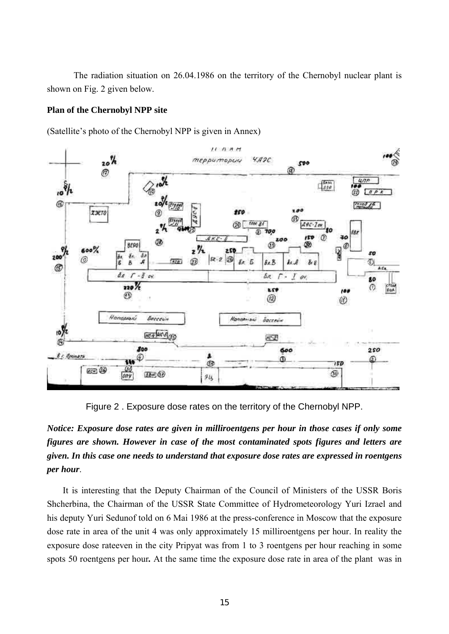The radiation situation on 26.04.1986 on the territory of the Chernobyl nuclear plant is shown on Fig. 2 given below.

# **Plan of the Chernobyl NPP site**

(Satellite's photo of the Chernobyl NPP is given in Annex)



Figure 2 . Exposure dose rates on the territory of the Chernobyl NPP.

# *Notice: Exposure dose rates are given in milliroentgens per hour in those cases if only some figures are shown. However in case of the most contaminated spots figures and letters are given. In this case one needs to understand that exposure dose rates are expressed in roentgens per hour*.

 It is interesting that the Deputy Chairman of the Council of Ministers of the USSR Boris Shcherbina, the Chairman of the USSR State Committee of Hydrometeorology Yuri Izrael and his deputy Yuri Sedunof told on 6 Mai 1986 at the press-conference in Moscow that the exposure dose rate in area of the unit 4 was only approximately 15 milliroentgens per hour. In reality the exposure dose rateeven in the city Pripyat was from 1 to 3 roentgens per hour reaching in some spots 50 roentgens per hour*.* At the same time the exposure dose rate in area of the plant was in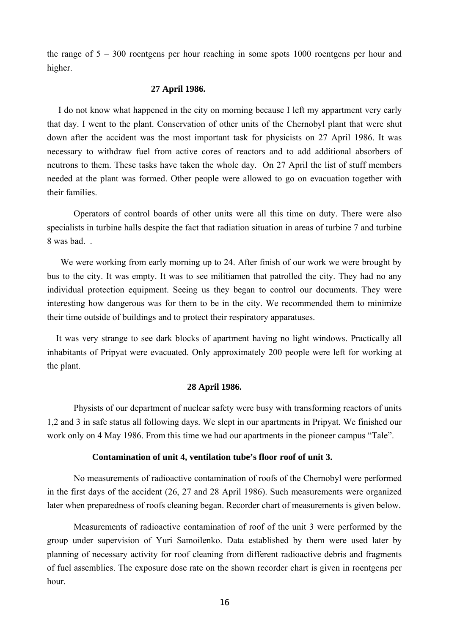the range of 5 – 300 roentgens per hour reaching in some spots 1000 roentgens per hour and higher.

#### **27 April 1986.**

 I do not know what happened in the city on morning because I left my appartment very early that day. I went to the plant. Conservation of other units of the Chernobyl plant that were shut down after the accident was the most important task for physicists on 27 April 1986. It was necessary to withdraw fuel from active cores of reactors and to add additional absorbers of neutrons to them. These tasks have taken the whole day. On 27 April the list of stuff members needed at the plant was formed. Other people were allowed to go on evacuation together with their families.

Operators of control boards of other units were all this time on duty. There were also specialists in turbine halls despite the fact that radiation situation in areas of turbine 7 and turbine 8 was bad. .

We were working from early morning up to 24. After finish of our work we were brought by bus to the city. It was empty. It was to see militiamen that patrolled the city. They had no any individual protection equipment. Seeing us they began to control our documents. They were interesting how dangerous was for them to be in the city. We recommended them to minimize their time outside of buildings and to protect their respiratory apparatuses.

 It was very strange to see dark blocks of apartment having no light windows. Practically all inhabitants of Pripyat were evacuated. Only approximately 200 people were left for working at the plant.

#### **28 April 1986.**

Physists of our department of nuclear safety were busy with transforming reactors of units 1,2 and 3 in safe status all following days. We slept in our apartments in Pripyat. We finished our work only on 4 May 1986. From this time we had our apartments in the pioneer campus "Tale".

# **Contamination of unit 4, ventilation tube's floor roof of unit 3.**

No measurements of radioactive contamination of roofs of the Chernobyl were performed in the first days of the accident (26, 27 and 28 April 1986). Such measurements were organized later when preparedness of roofs cleaning began. Recorder chart of measurements is given below.

Measurements of radioactive contamination of roof of the unit 3 were performed by the group under supervision of Yuri Samoilenko. Data established by them were used later by planning of necessary activity for roof cleaning from different radioactive debris and fragments of fuel assemblies. The exposure dose rate on the shown recorder chart is given in roentgens per hour.